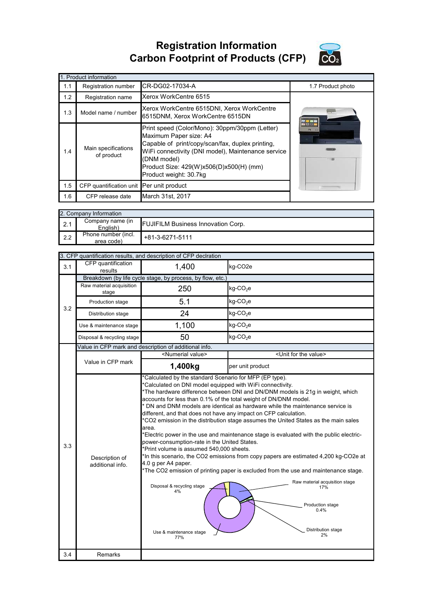**Registration Information Carbon Footprint of Products (CFP)**



|     | 1. Product information                   |                                                                                                                                                                                                                                                                        |                          |
|-----|------------------------------------------|------------------------------------------------------------------------------------------------------------------------------------------------------------------------------------------------------------------------------------------------------------------------|--------------------------|
| 1.1 | Registration number                      | CR-DG02-17034-A                                                                                                                                                                                                                                                        | 1.7 Product photo        |
| 1.2 | Registration name                        | Xerox WorkCentre 6515                                                                                                                                                                                                                                                  |                          |
| 1.3 | Model name / number                      | Xerox WorkCentre 6515DNI, Xerox WorkCentre<br>6515DNM, Xerox WorkCentre 6515DN                                                                                                                                                                                         |                          |
| 1.4 | Main specifications<br>of product        | Print speed (Color/Mono): 30ppm/30ppm (Letter)<br>Maximum Paper size: A4<br>Capable of print/copy/scan/fax, duplex printing,<br>WiFi connectivity (DNI model), Maintenance service<br>(DNM model)<br>Product Size: 429(W)x506(D)x500(H) (mm)<br>Product weight: 30.7kg | <b>BIER</b><br>$\bullet$ |
| 1.5 | CFP quantification unit Per unit product |                                                                                                                                                                                                                                                                        |                          |
| 1.6 | CFP release date                         | March 31st, 2017                                                                                                                                                                                                                                                       |                          |

|     | 2. Company Information            |                                           |
|-----|-----------------------------------|-------------------------------------------|
| 2.1 | Company name (in<br>English)      | <b>FUJIFILM Business Innovation Corp.</b> |
| 2.2 | Phone number (incl.<br>area code) | +81-3-6271-5111                           |

|     |                                    | 3. CFP quantification results, and description of CFP declration                                                                                                                                                                                                                                                                                                                                                                                               |                                                                                                                                                                                                                                                                                                                                                                                                                                                                                                                                                                                                                                    |
|-----|------------------------------------|----------------------------------------------------------------------------------------------------------------------------------------------------------------------------------------------------------------------------------------------------------------------------------------------------------------------------------------------------------------------------------------------------------------------------------------------------------------|------------------------------------------------------------------------------------------------------------------------------------------------------------------------------------------------------------------------------------------------------------------------------------------------------------------------------------------------------------------------------------------------------------------------------------------------------------------------------------------------------------------------------------------------------------------------------------------------------------------------------------|
| 3.1 | CFP quantification<br>results      | 1,400                                                                                                                                                                                                                                                                                                                                                                                                                                                          | kg-CO2e                                                                                                                                                                                                                                                                                                                                                                                                                                                                                                                                                                                                                            |
|     |                                    | Breakdown (by life cycle stage, by process, by flow, etc.)                                                                                                                                                                                                                                                                                                                                                                                                     |                                                                                                                                                                                                                                                                                                                                                                                                                                                                                                                                                                                                                                    |
|     | Raw material acquisition<br>stage  | 250                                                                                                                                                                                                                                                                                                                                                                                                                                                            | $kg$ -CO <sub>2</sub> e                                                                                                                                                                                                                                                                                                                                                                                                                                                                                                                                                                                                            |
| 3.2 | Production stage                   | 5.1                                                                                                                                                                                                                                                                                                                                                                                                                                                            | kg-CO <sub>2</sub> e                                                                                                                                                                                                                                                                                                                                                                                                                                                                                                                                                                                                               |
|     | Distribution stage                 | 24                                                                                                                                                                                                                                                                                                                                                                                                                                                             | kg-CO <sub>2</sub> e                                                                                                                                                                                                                                                                                                                                                                                                                                                                                                                                                                                                               |
|     | Use & maintenance stage            | 1,100                                                                                                                                                                                                                                                                                                                                                                                                                                                          | kg-CO <sub>2</sub> e                                                                                                                                                                                                                                                                                                                                                                                                                                                                                                                                                                                                               |
|     | Disposal & recycling stage         | 50                                                                                                                                                                                                                                                                                                                                                                                                                                                             | $kg$ -CO <sub>2</sub> e                                                                                                                                                                                                                                                                                                                                                                                                                                                                                                                                                                                                            |
|     |                                    | Value in CFP mark and description of additional info.                                                                                                                                                                                                                                                                                                                                                                                                          |                                                                                                                                                                                                                                                                                                                                                                                                                                                                                                                                                                                                                                    |
|     |                                    | <numerial value=""></numerial>                                                                                                                                                                                                                                                                                                                                                                                                                                 | <unit for="" the="" value=""></unit>                                                                                                                                                                                                                                                                                                                                                                                                                                                                                                                                                                                               |
|     | Value in CFP mark                  | 1,400kg                                                                                                                                                                                                                                                                                                                                                                                                                                                        | per unit product                                                                                                                                                                                                                                                                                                                                                                                                                                                                                                                                                                                                                   |
| 3.3 | Description of<br>additional info. | *Calculated by the standard Scenario for MFP (EP type).<br>*Calculated on DNI model equipped with WiFi connectivity.<br>accounts for less than 0.1% of the total weight of DN/DNM model.<br>different, and that does not have any impact on CFP calculation.<br>area.<br>power-consumption-rate in the United States.<br>*Print volume is assumed 540,000 sheets.<br>4.0 g per A4 paper.<br>Disposal & recycling stage<br>4%<br>Use & maintenance stage<br>77% | *The hardware difference between DNI and DN/DNM models is 21g in weight, which<br>* DN and DNM models are identical as hardware while the maintenance service is<br>*CO2 emission in the distribution stage assumes the United States as the main sales<br>*Electric power in the use and maintenance stage is evaluated with the public electric-<br>*In this scenario, the CO2 emissions from copy papers are estimated 4,200 kg-CO2e at<br>*The CO2 emission of printing paper is excluded from the use and maintenance stage.<br>Raw material acquisition stage<br>17%<br>Production stage<br>0.4%<br>Distribution stage<br>2% |
| 3.4 | Remarks                            |                                                                                                                                                                                                                                                                                                                                                                                                                                                                |                                                                                                                                                                                                                                                                                                                                                                                                                                                                                                                                                                                                                                    |
|     |                                    |                                                                                                                                                                                                                                                                                                                                                                                                                                                                |                                                                                                                                                                                                                                                                                                                                                                                                                                                                                                                                                                                                                                    |